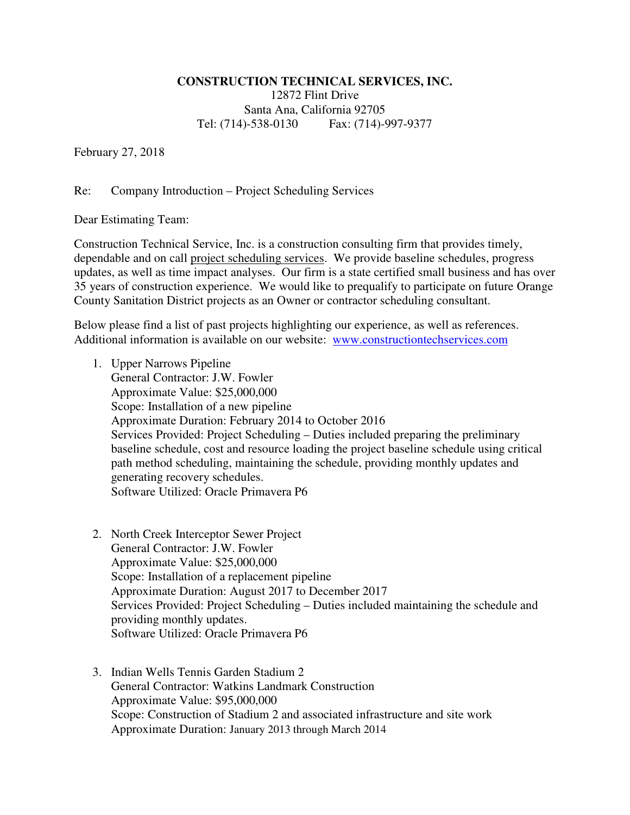## **CONSTRUCTION TECHNICAL SERVICES, INC.**

12872 Flint Drive Santa Ana, California 92705 Tel: (714)-538-0130 Fax: (714)-997-9377

February 27, 2018

## Re: Company Introduction – Project Scheduling Services

Dear Estimating Team:

Construction Technical Service, Inc. is a construction consulting firm that provides timely, dependable and on call project scheduling services. We provide baseline schedules, progress updates, as well as time impact analyses. Our firm is a state certified small business and has over 35 years of construction experience. We would like to prequalify to participate on future Orange County Sanitation District projects as an Owner or contractor scheduling consultant.

Below please find a list of past projects highlighting our experience, as well as references. Additional information is available on our website: www.constructiontechservices.com

- 1. Upper Narrows Pipeline General Contractor: J.W. Fowler Approximate Value: \$25,000,000 Scope: Installation of a new pipeline Approximate Duration: February 2014 to October 2016 Services Provided: Project Scheduling – Duties included preparing the preliminary baseline schedule, cost and resource loading the project baseline schedule using critical path method scheduling, maintaining the schedule, providing monthly updates and generating recovery schedules. Software Utilized: Oracle Primavera P6
- 2. North Creek Interceptor Sewer Project General Contractor: J.W. Fowler Approximate Value: \$25,000,000 Scope: Installation of a replacement pipeline Approximate Duration: August 2017 to December 2017 Services Provided: Project Scheduling – Duties included maintaining the schedule and providing monthly updates. Software Utilized: Oracle Primavera P6
- 3. Indian Wells Tennis Garden Stadium 2 General Contractor: Watkins Landmark Construction Approximate Value: \$95,000,000 Scope: Construction of Stadium 2 and associated infrastructure and site work Approximate Duration: January 2013 through March 2014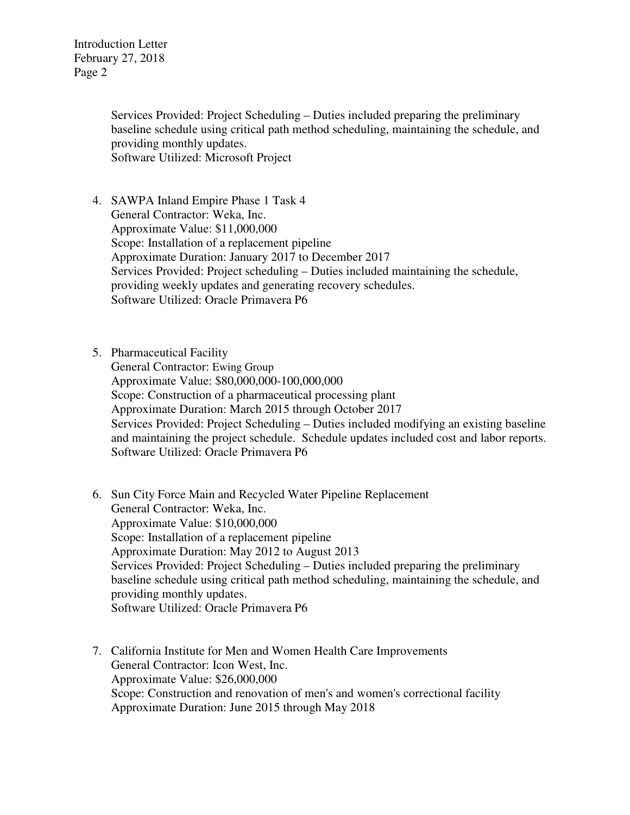> Services Provided: Project Scheduling – Duties included preparing the preliminary baseline schedule using critical path method scheduling, maintaining the schedule, and providing monthly updates. Software Utilized: Microsoft Project

- 4. SAWPA Inland Empire Phase 1 Task 4 General Contractor: Weka, Inc. Approximate Value: \$11,000,000 Scope: Installation of a replacement pipeline Approximate Duration: January 2017 to December 2017 Services Provided: Project scheduling – Duties included maintaining the schedule, providing weekly updates and generating recovery schedules. Software Utilized: Oracle Primavera P6
- 5. Pharmaceutical Facility General Contractor: Ewing Group Approximate Value: \$80,000,000-100,000,000 Scope: Construction of a pharmaceutical processing plant Approximate Duration: March 2015 through October 2017 Services Provided: Project Scheduling – Duties included modifying an existing baseline and maintaining the project schedule. Schedule updates included cost and labor reports. Software Utilized: Oracle Primavera P6
- 6. Sun City Force Main and Recycled Water Pipeline Replacement General Contractor: Weka, Inc. Approximate Value: \$10,000,000 Scope: Installation of a replacement pipeline Approximate Duration: May 2012 to August 2013 Services Provided: Project Scheduling – Duties included preparing the preliminary baseline schedule using critical path method scheduling, maintaining the schedule, and providing monthly updates. Software Utilized: Oracle Primavera P6
- 7. California Institute for Men and Women Health Care Improvements General Contractor: Icon West, Inc. Approximate Value: \$26,000,000 Scope: Construction and renovation of men's and women's correctional facility Approximate Duration: June 2015 through May 2018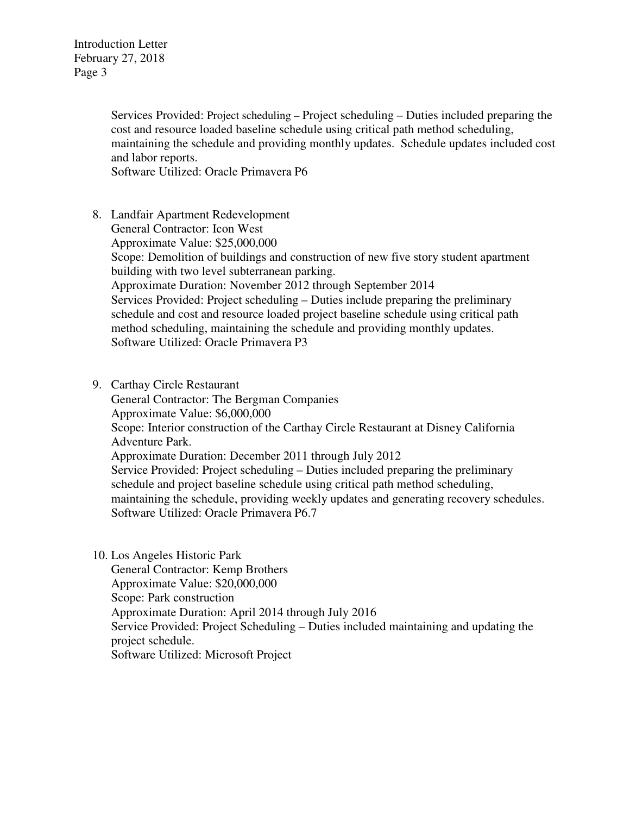> Services Provided: Project scheduling – Project scheduling – Duties included preparing the cost and resource loaded baseline schedule using critical path method scheduling, maintaining the schedule and providing monthly updates. Schedule updates included cost and labor reports.

Software Utilized: Oracle Primavera P6

- 8. Landfair Apartment Redevelopment General Contractor: Icon West Approximate Value: \$25,000,000 Scope: Demolition of buildings and construction of new five story student apartment building with two level subterranean parking. Approximate Duration: November 2012 through September 2014 Services Provided: Project scheduling – Duties include preparing the preliminary schedule and cost and resource loaded project baseline schedule using critical path method scheduling, maintaining the schedule and providing monthly updates. Software Utilized: Oracle Primavera P3
- 9. Carthay Circle Restaurant General Contractor: The Bergman Companies Approximate Value: \$6,000,000 Scope: Interior construction of the Carthay Circle Restaurant at Disney California Adventure Park. Approximate Duration: December 2011 through July 2012 Service Provided: Project scheduling – Duties included preparing the preliminary schedule and project baseline schedule using critical path method scheduling, maintaining the schedule, providing weekly updates and generating recovery schedules. Software Utilized: Oracle Primavera P6.7
- 10. Los Angeles Historic Park General Contractor: Kemp Brothers Approximate Value: \$20,000,000 Scope: Park construction Approximate Duration: April 2014 through July 2016 Service Provided: Project Scheduling – Duties included maintaining and updating the project schedule. Software Utilized: Microsoft Project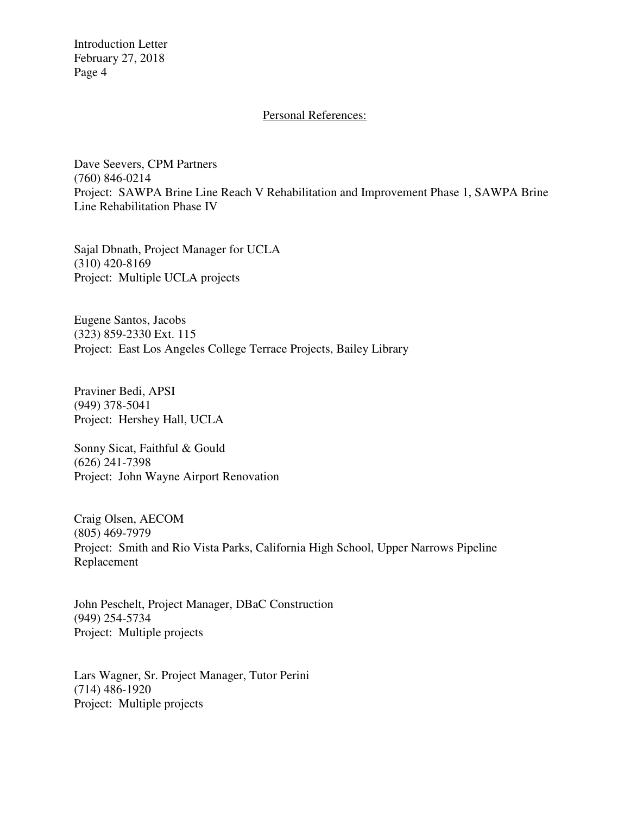## Personal References:

Dave Seevers, CPM Partners (760) 846-0214 Project: SAWPA Brine Line Reach V Rehabilitation and Improvement Phase 1, SAWPA Brine Line Rehabilitation Phase IV

Sajal Dbnath, Project Manager for UCLA (310) 420-8169 Project: Multiple UCLA projects

Eugene Santos, Jacobs (323) 859-2330 Ext. 115 Project: East Los Angeles College Terrace Projects, Bailey Library

Praviner Bedi, APSI (949) 378-5041 Project: Hershey Hall, UCLA

Sonny Sicat, Faithful & Gould (626) 241-7398 Project: John Wayne Airport Renovation

Craig Olsen, AECOM (805) 469-7979 Project: Smith and Rio Vista Parks, California High School, Upper Narrows Pipeline Replacement

John Peschelt, Project Manager, DBaC Construction (949) 254-5734 Project: Multiple projects

Lars Wagner, Sr. Project Manager, Tutor Perini (714) 486-1920 Project: Multiple projects